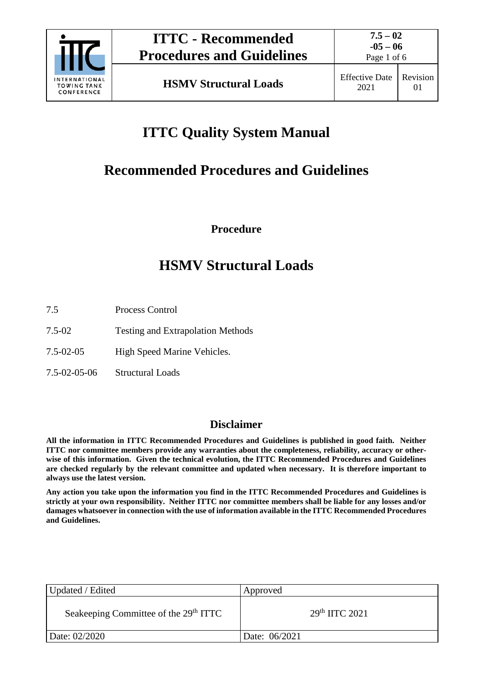

Page 1 of 6

# **ITTC Quality System Manual**

# **Recommended Procedures and Guidelines**

**Procedure**

# **HSMV Structural Loads**

- 7.5 Process Control
- 7.5-02 Testing and Extrapolation Methods
- 7.5-02-05 High Speed Marine Vehicles.
- 7.5-02-05-06 Structural Loads

# **Disclaimer**

**All the information in ITTC Recommended Procedures and Guidelines is published in good faith. Neither ITTC nor committee members provide any warranties about the completeness, reliability, accuracy or otherwise of this information. Given the technical evolution, the ITTC Recommended Procedures and Guidelines are checked regularly by the relevant committee and updated when necessary. It is therefore important to always use the latest version.**

**Any action you take upon the information you find in the ITTC Recommended Procedures and Guidelines is strictly at your own responsibility. Neither ITTC nor committee members shall be liable for any losses and/or damages whatsoever in connection with the use of information available in the ITTC Recommended Procedures and Guidelines.**

| Updated / Edited                                  | Approved        |
|---------------------------------------------------|-----------------|
| Seakeeping Committee of the 29 <sup>th</sup> ITTC | $29th$ HTC 2021 |
| Date: 02/2020                                     | Date: 06/2021   |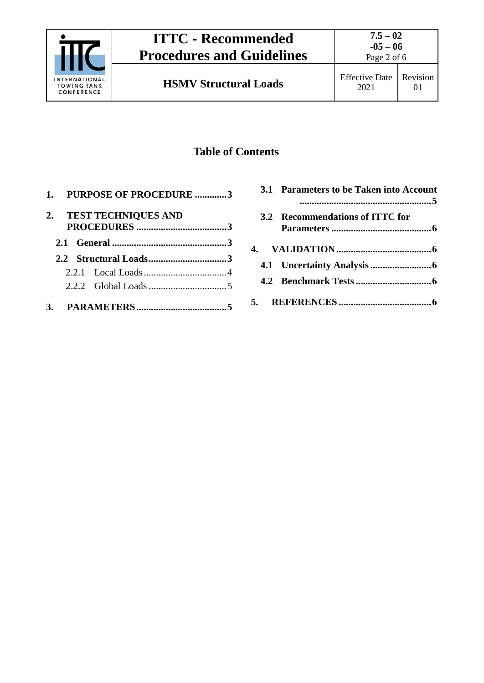

Page 2 of 6

# **Table of Contents**

|  | 1. PURPOSE OF PROCEDURE 3 |  |
|--|---------------------------|--|
|  | 2. TEST TECHNIQUES AND    |  |
|  |                           |  |
|  |                           |  |
|  |                           |  |
|  |                           |  |
|  |                           |  |

| 3.1 Parameters to be Taken into Account |
|-----------------------------------------|
| 3.2 Recommendations of ITTC for         |
|                                         |
|                                         |
|                                         |
|                                         |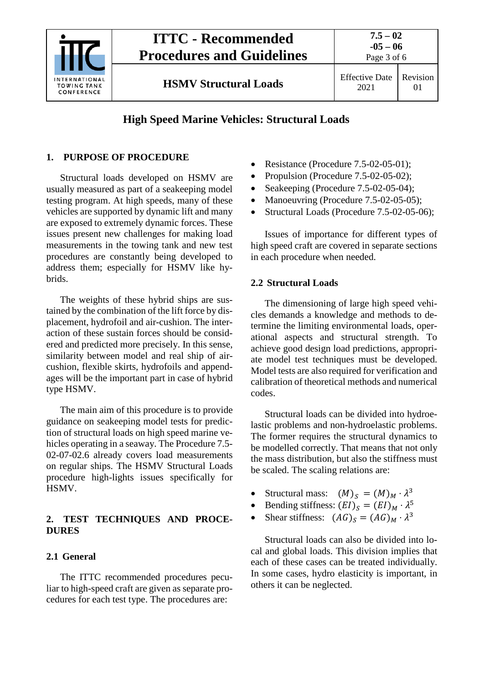

# **ITTC - Recommended Procedures and Guidelines**

Page 3 of 6

**HSMV Structural Loads** Effective Date

# **High Speed Marine Vehicles: Structural Loads**

# <span id="page-2-0"></span>**1. PURPOSE OF PROCEDURE**

Structural loads developed on HSMV are usually measured as part of a seakeeping model testing program. At high speeds, many of these vehicles are supported by dynamic lift and many are exposed to extremely dynamic forces. These issues present new challenges for making load measurements in the towing tank and new test procedures are constantly being developed to address them; especially for HSMV like hybrids.

The weights of these hybrid ships are sustained by the combination of the lift force by displacement, hydrofoil and air-cushion. The interaction of these sustain forces should be considered and predicted more precisely. In this sense, similarity between model and real ship of aircushion, flexible skirts, hydrofoils and appendages will be the important part in case of hybrid type HSMV.

The main aim of this procedure is to provide guidance on seakeeping model tests for prediction of structural loads on high speed marine vehicles operating in a seaway. The Procedure 7.5- 02-07-02.6 already covers load measurements on regular ships. The HSMV Structural Loads procedure high-lights issues specifically for HSMV.

# <span id="page-2-1"></span>**2. TEST TECHNIQUES AND PROCE-DURES**

## <span id="page-2-2"></span>**2.1 General**

The ITTC recommended procedures peculiar to high-speed craft are given as separate procedures for each test type. The procedures are:

- Resistance (Procedure 7.5-02-05-01);
- Propulsion (Procedure 7.5-02-05-02);
- Seakeeping (Procedure 7.5-02-05-04);
- Manoeuvring (Procedure 7.5-02-05-05);
- Structural Loads (Procedure 7.5-02-05-06);

Issues of importance for different types of high speed craft are covered in separate sections in each procedure when needed.

### <span id="page-2-3"></span>**2.2 Structural Loads**

The dimensioning of large high speed vehicles demands a knowledge and methods to determine the limiting environmental loads, operational aspects and structural strength. To achieve good design load predictions, appropriate model test techniques must be developed. Model tests are also required for verification and calibration of theoretical methods and numerical codes.

Structural loads can be divided into hydroelastic problems and non-hydroelastic problems. The former requires the structural dynamics to be modelled correctly. That means that not only the mass distribution, but also the stiffness must be scaled. The scaling relations are:

- Structural mass:  $(M)_s = (M)_M \cdot \lambda^3$ <br>• Bending stiffness:  $(EI)_s = (EI)_M \cdot \lambda^5$
- Bending stiffness:  $(EI)_S = (EI)_M \cdot \lambda^5$ <br>• Shear stiffness:  $(AG)_S = (AG)_M \cdot \lambda^3$
- Shear stiffness:  $(AG)_S = (AG)_M \cdot \lambda^3$

Structural loads can also be divided into local and global loads. This division implies that each of these cases can be treated individually. In some cases, hydro elasticity is important, in others it can be neglected.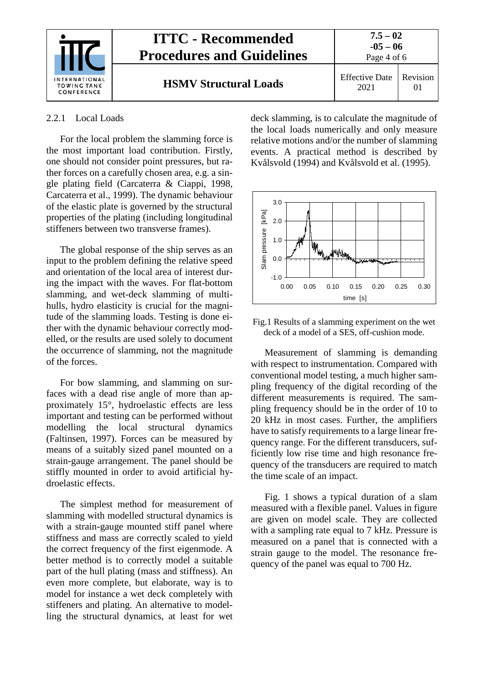

#### <span id="page-3-0"></span>2.2.1 Local Loads

For the local problem the slamming force is the most important load contribution. Firstly, one should not consider point pressures, but rather forces on a carefully chosen area, e.g. a single plating field (Carcaterra & Ciappi, 1998, Carcaterra et al., 1999). The dynamic behaviour of the elastic plate is governed by the structural properties of the plating (including longitudinal stiffeners between two transverse frames).

The global response of the ship serves as an input to the problem defining the relative speed and orientation of the local area of interest during the impact with the waves. For flat-bottom slamming, and wet-deck slamming of multihulls, hydro elasticity is crucial for the magnitude of the slamming loads. Testing is done either with the dynamic behaviour correctly modelled, or the results are used solely to document the occurrence of slamming, not the magnitude of the forces.

For bow slamming, and slamming on surfaces with a dead rise angle of more than approximately 15°, hydroelastic effects are less important and testing can be performed without modelling the local structural dynamics (Faltinsen, 1997). Forces can be measured by means of a suitably sized panel mounted on a strain-gauge arrangement. The panel should be stiffly mounted in order to avoid artificial hydroelastic effects.

The simplest method for measurement of slamming with modelled structural dynamics is with a strain-gauge mounted stiff panel where stiffness and mass are correctly scaled to yield the correct frequency of the first eigenmode. A better method is to correctly model a suitable part of the hull plating (mass and stiffness). An even more complete, but elaborate, way is to model for instance a wet deck completely with stiffeners and plating. An alternative to modelling the structural dynamics, at least for wet deck slamming, is to calculate the magnitude of the local loads numerically and only measure relative motions and/or the number of slamming events. A practical method is described by Kvålsvold (1994) and Kvålsvold et al. (1995).



Fig.1 Results of a slamming experiment on the wet deck of a model of a SES, off-cushion mode.

Measurement of slamming is demanding with respect to instrumentation. Compared with conventional model testing, a much higher sampling frequency of the digital recording of the different measurements is required. The sampling frequency should be in the order of 10 to 20 kHz in most cases. Further, the amplifiers have to satisfy requirements to a large linear frequency range. For the different transducers, sufficiently low rise time and high resonance frequency of the transducers are required to match the time scale of an impact.

Fig. 1 shows a typical duration of a slam measured with a flexible panel. Values in figure are given on model scale. They are collected with a sampling rate equal to 7 kHz. Pressure is measured on a panel that is connected with a strain gauge to the model. The resonance frequency of the panel was equal to 700 Hz.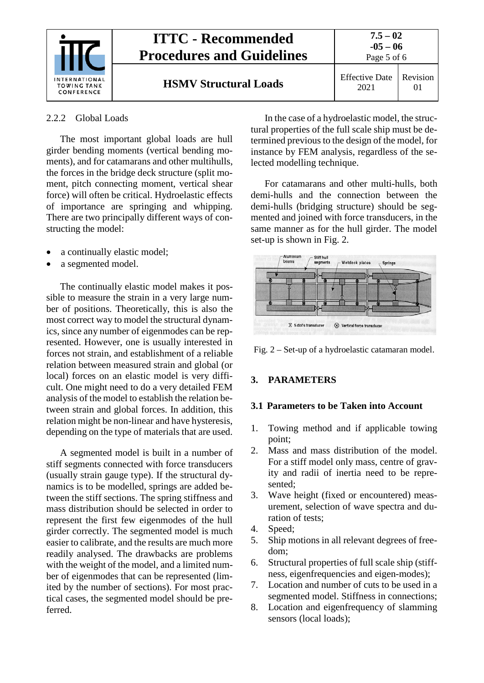

#### <span id="page-4-0"></span>2.2.2 Global Loads

The most important global loads are hull girder bending moments (vertical bending moments), and for catamarans and other multihulls, the forces in the bridge deck structure (split moment, pitch connecting moment, vertical shear force) will often be critical. Hydroelastic effects of importance are springing and whipping. There are two principally different ways of constructing the model:

- a continually elastic model;
- a segmented model.

The continually elastic model makes it possible to measure the strain in a very large number of positions. Theoretically, this is also the most correct way to model the structural dynamics, since any number of eigenmodes can be represented. However, one is usually interested in forces not strain, and establishment of a reliable relation between measured strain and global (or local) forces on an elastic model is very difficult. One might need to do a very detailed FEM analysis of the model to establish the relation between strain and global forces. In addition, this relation might be non-linear and have hysteresis, depending on the type of materials that are used.

A segmented model is built in a number of stiff segments connected with force transducers (usually strain gauge type). If the structural dynamics is to be modelled, springs are added between the stiff sections. The spring stiffness and mass distribution should be selected in order to represent the first few eigenmodes of the hull girder correctly. The segmented model is much easier to calibrate, and the results are much more readily analysed. The drawbacks are problems with the weight of the model, and a limited number of eigenmodes that can be represented (limited by the number of sections). For most practical cases, the segmented model should be preferred.

In the case of a hydroelastic model, the structural properties of the full scale ship must be determined previous to the design of the model, for instance by FEM analysis, regardless of the selected modelling technique.

For catamarans and other multi-hulls, both demi-hulls and the connection between the demi-hulls (bridging structure) should be segmented and joined with force transducers, in the same manner as for the hull girder. The model set-up is shown in Fig. 2.



<span id="page-4-1"></span>Fig. 2 – Set-up of a hydroelastic catamaran model.

## <span id="page-4-2"></span>**3. PARAMETERS**

#### **3.1 Parameters to be Taken into Account**

- 1. Towing method and if applicable towing point;
- 2. Mass and mass distribution of the model. For a stiff model only mass, centre of gravity and radii of inertia need to be represented;
- 3. Wave height (fixed or encountered) measurement, selection of wave spectra and duration of tests;
- 4. Speed;
- 5. Ship motions in all relevant degrees of freedom;
- 6. Structural properties of full scale ship (stiffness, eigenfrequencies and eigen-modes);
- 7. Location and number of cuts to be used in a segmented model. Stiffness in connections;
- 8. Location and eigenfrequency of slamming sensors (local loads);